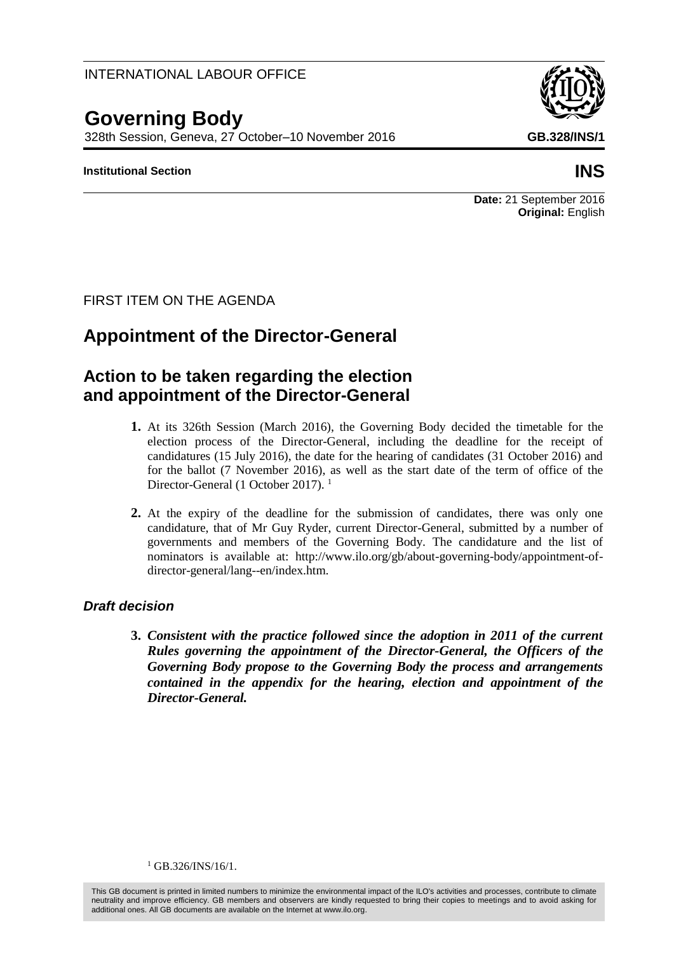## INTERNATIONAL LABOUR OFFICE

# **Governing Body**

328th Session, Geneva, 27 October–10 November 2016 **GB.328/INS/1**

### **Institutional Section INS**

**Date:** 21 September 2016 **Original:** English

FIRST ITEM ON THE AGENDA

# **Appointment of the Director-General**

## **Action to be taken regarding the election and appointment of the Director-General**

- **1.** At its 326th Session (March 2016), the Governing Body decided the timetable for the election process of the Director-General, including the deadline for the receipt of candidatures (15 July 2016), the date for the hearing of candidates (31 October 2016) and for the ballot (7 November 2016), as well as the start date of the term of office of the Director-General (1 October 2017).<sup>1</sup>
- **2.** At the expiry of the deadline for the submission of candidates, there was only one candidature, that of Mr Guy Ryder, current Director-General, submitted by a number of governments and members of the Governing Body. The candidature and the list of nominators is available at: [http://www.ilo.org/gb/about-governing-body/appointment-of](http://www.ilo.org/gb/about-governing-body/appointment-of-director-general/lang--en/index.htm)[director-general/lang--en/index.htm.](http://www.ilo.org/gb/about-governing-body/appointment-of-director-general/lang--en/index.htm)

## *Draft decision*

**3.** *Consistent with the practice followed since the adoption in 2011 of the current Rules governing the appointment of the Director-General, the Officers of the Governing Body propose to the Governing Body the process and arrangements contained in the appendix for the hearing, election and appointment of the Director-General.*

 $1$  GB.326/INS/16/1.

This GB document is printed in limited numbers to minimize the environmental impact of the ILO's activities and processes, contribute to climate neutrality and improve efficiency. GB members and observers are kindly requested to bring their copies to meetings and to avoid asking for additional ones. All GB documents are available on the Internet at www.ilo.org.

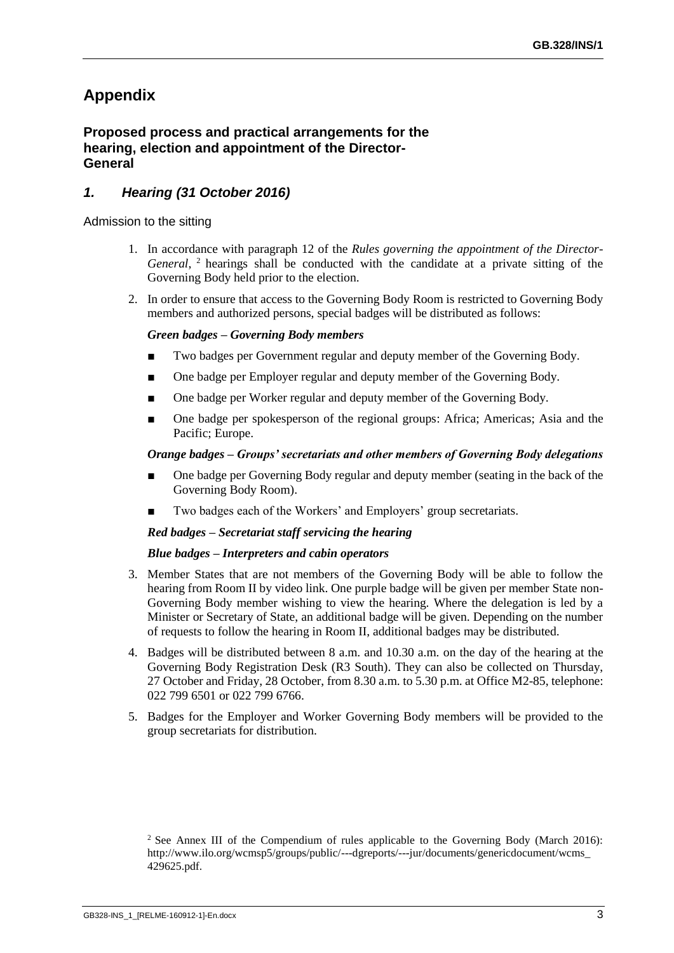## **Appendix**

### **Proposed process and practical arrangements for the hearing, election and appointment of the Director-General**

## *1. Hearing (31 October 2016)*

#### Admission to the sitting

- 1. In accordance with paragraph 12 of the *Rules governing the appointment of the Director-General*, <sup>2</sup> hearings shall be conducted with the candidate at a private sitting of the Governing Body held prior to the election.
- 2. In order to ensure that access to the Governing Body Room is restricted to Governing Body members and authorized persons, special badges will be distributed as follows:

#### *Green badges – Governing Body members*

- Two badges per Government regular and deputy member of the Governing Body.
- One badge per Employer regular and deputy member of the Governing Body.
- One badge per Worker regular and deputy member of the Governing Body.
- One badge per spokesperson of the regional groups: Africa; Americas; Asia and the Pacific; Europe.

#### *Orange badges – Groups' secretariats and other members of Governing Body delegations*

- One badge per Governing Body regular and deputy member (seating in the back of the Governing Body Room).
- Two badges each of the Workers' and Employers' group secretariats.

#### *Red badges – Secretariat staff servicing the hearing*

#### *Blue badges – Interpreters and cabin operators*

- 3. Member States that are not members of the Governing Body will be able to follow the hearing from Room II by video link. One purple badge will be given per member State non-Governing Body member wishing to view the hearing. Where the delegation is led by a Minister or Secretary of State, an additional badge will be given. Depending on the number of requests to follow the hearing in Room II, additional badges may be distributed.
- 4. Badges will be distributed between 8 a.m. and 10.30 a.m. on the day of the hearing at the Governing Body Registration Desk (R3 South). They can also be collected on Thursday, 27 October and Friday, 28 October, from 8.30 a.m. to 5.30 p.m. at Office M2-85, telephone: 022 799 6501 or 022 799 6766.
- 5. Badges for the Employer and Worker Governing Body members will be provided to the group secretariats for distribution.

<sup>&</sup>lt;sup>2</sup> See Annex III of the Compendium of rules applicable to the Governing Body (March 2016): [http://www.ilo.org/wcmsp5/groups/public/---dgreports/---jur/documents/genericdocument/wcms\\_](http://www.ilo.org/wcmsp5/groups/public/---dgreports/---jur/documents/genericdocument/wcms_429625.pdf) [429625.pdf.](http://www.ilo.org/wcmsp5/groups/public/---dgreports/---jur/documents/genericdocument/wcms_429625.pdf)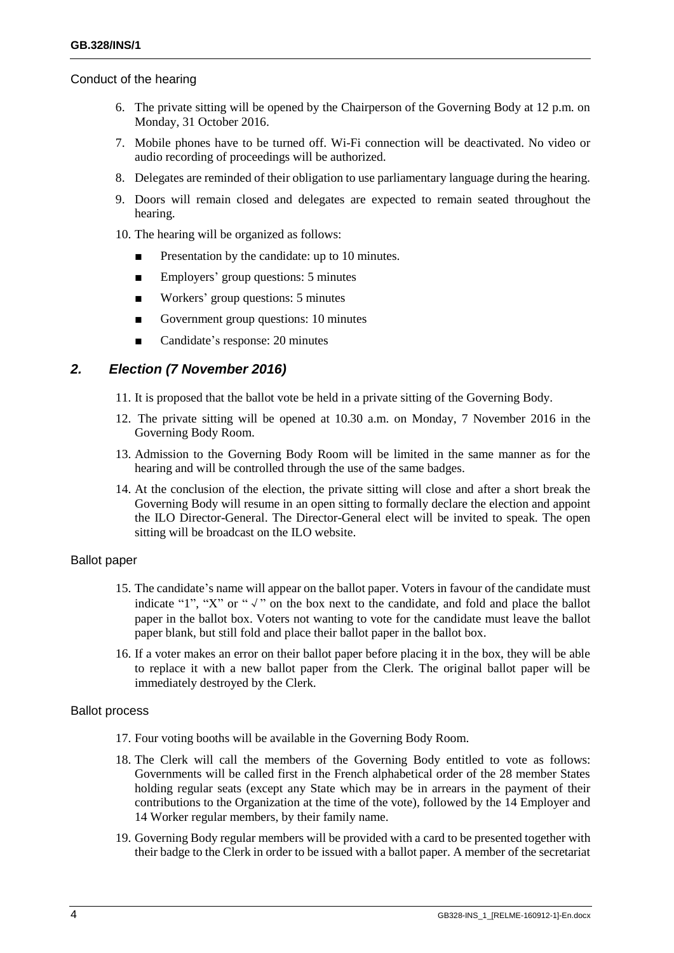#### Conduct of the hearing

- 6. The private sitting will be opened by the Chairperson of the Governing Body at 12 p.m. on Monday, 31 October 2016.
- 7. Mobile phones have to be turned off. Wi-Fi connection will be deactivated. No video or audio recording of proceedings will be authorized.
- 8. Delegates are reminded of their obligation to use parliamentary language during the hearing.
- 9. Doors will remain closed and delegates are expected to remain seated throughout the hearing.
- 10. The hearing will be organized as follows:
	- Presentation by the candidate: up to 10 minutes.
	- Employers' group questions: 5 minutes
	- Workers' group questions: 5 minutes
	- Government group questions: 10 minutes
	- Candidate's response: 20 minutes

## *2. Election (7 November 2016)*

- 11. It is proposed that the ballot vote be held in a private sitting of the Governing Body.
- 12. The private sitting will be opened at 10.30 a.m. on Monday, 7 November 2016 in the Governing Body Room.
- 13. Admission to the Governing Body Room will be limited in the same manner as for the hearing and will be controlled through the use of the same badges.
- 14. At the conclusion of the election, the private sitting will close and after a short break the Governing Body will resume in an open sitting to formally declare the election and appoint the ILO Director-General. The Director-General elect will be invited to speak. The open sitting will be broadcast on the ILO website.

#### Ballot paper

- 15. The candidate's name will appear on the ballot paper. Voters in favour of the candidate must indicate "1", "X" or " $\sqrt{ }$ " on the box next to the candidate, and fold and place the ballot paper in the ballot box. Voters not wanting to vote for the candidate must leave the ballot paper blank, but still fold and place their ballot paper in the ballot box.
- 16. If a voter makes an error on their ballot paper before placing it in the box, they will be able to replace it with a new ballot paper from the Clerk. The original ballot paper will be immediately destroyed by the Clerk.

#### Ballot process

- 17. Four voting booths will be available in the Governing Body Room.
- 18. The Clerk will call the members of the Governing Body entitled to vote as follows: Governments will be called first in the French alphabetical order of the 28 member States holding regular seats (except any State which may be in arrears in the payment of their contributions to the Organization at the time of the vote), followed by the 14 Employer and 14 Worker regular members, by their family name.
- 19. Governing Body regular members will be provided with a card to be presented together with their badge to the Clerk in order to be issued with a ballot paper. A member of the secretariat